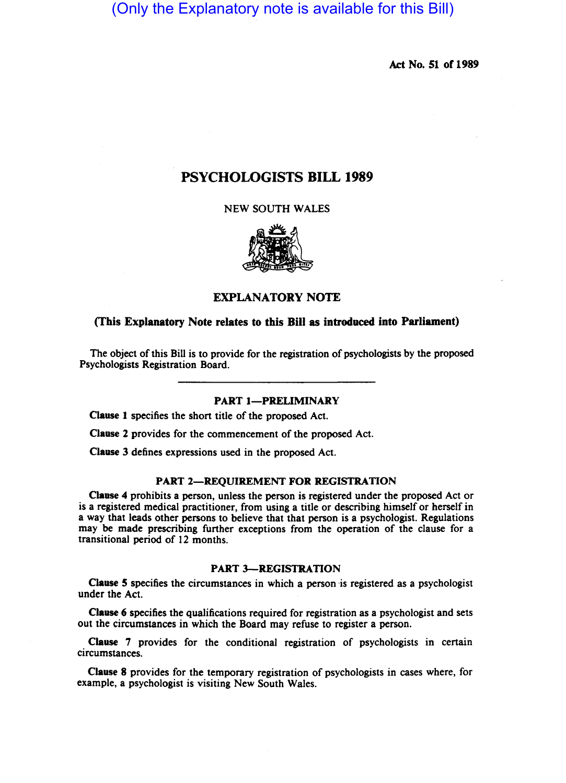(Only the Explanatory note is available for this Bill)

Act No. 51 of 1989

# PSYCHOLOGISTS BILL 1989

NEW SOUTH WALES



### EXPLANATORY NOTE

### (This Explanatory Note relates to this Bill as introduced into Parliament)

The object of this Bill is to provide for the registration of psychologists by the proposed Psychologists Registration Board.

### PART 1-PRELIMINARY

Clause 1 specifies the short title of the proposed Act.

Clause 2 provides for the commencement of the proposed Act.

Clause 3 defines expressions used in the proposed Act.

#### PART 2-REQUIREMENT FOR REGISTRATION

Clause 4 prohibits a person, unless the person is registered under the proposed Act or is a registered medical practitioner, from using a title or describing himself or herself in a way that leads other persons to believe that that person is a psychologist. Regulations may be made prescribing further exceptions from the operation of the clause for a transitional period of 12 months.

### PART 3-REGISTRATION

Clause 5 specifies the circumstances in which a person ·is registered as a psychologist under the Act.

Clause 6 specifies the qualifications required for registration as a psychologist and sets out the circumstances in which the Board may refuse to register a person.

Clause 7 provides for the conditional registration of psychologists in certain circumstances.

Clause 8 provides for the temporary registration of psychologists in cases where, for example, a psychologist is visiting New South Wales.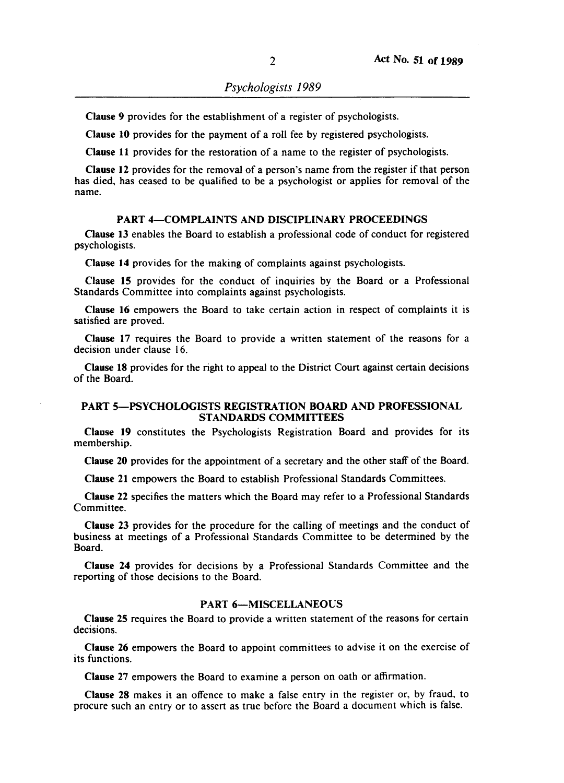Clause 9 provides for the establishment of a register of psychologists.

Clause 10 provides for the payment of a roll fee by registered psychologists.

Clause 11 provides for the restoration of a name to the register of psychologists.

Clause 12 provides for the removal of a person's name from the register if that person has died, has ceased to be qualified to be a psychologist or applies for removal of the name.

## PART 4-COMPLAINTS AND DISCIPLINARY PROCEEDINGS

Clause 13 enables the Board to establish a professional code of conduct for registered psychologists.

Clause 14 provides for the making of complaints against psychologists.

Clause 15 provides for the conduct of inquiries by the Board or a Professional Standards Committee into complaints against psychologists.

Clause 16 empowers the Board to take certain action in respect of complaints it is satisfied are proved.

Clause 17 requires the Board to provide a written statement of the reasons for a decision under clause 16.

Clause 18 provides for the right to appeal to the District Court against certain decisions of the Board.

### PART 5-PSYCHOLOGISTS REGISTRATION BOARD AND PROFESSIONAL STANDARDS COMMITTEES

Clause 19 constitutes the Psychologists Registration Board and provides for its membership.

Clause 20 provides for the appointment of a secretary and the other staff of the Board.

Clause 21 empowers the Board to establish Professional Standards Committees.

Clause 22 specifies the matters which the Board may refer to a Professional Standards Committee.

Clause 23 provides for the procedure for the calling of meetings and the conduct of business at meetings of a Professional Standards Committee to be determined by the Board.

Clause 24 provides for decisions by a Professional Standards Committee and the reporting of those decisions to the Board.

### PART 6-MISCELLANEOUS

Clause 25 requires the Board to provide a written statement of the reasons for certain decisions.

Clause 26 empowers the Board to appoint committees to advise it on the exercise of its functions.

Clause 27 empowers the Board to examine a person on oath or affirmation.

Clause 28 makes it an offence to make a false entry in the register or, by fraud, to procure such an entry or to assert as true before the Board a document which is false.